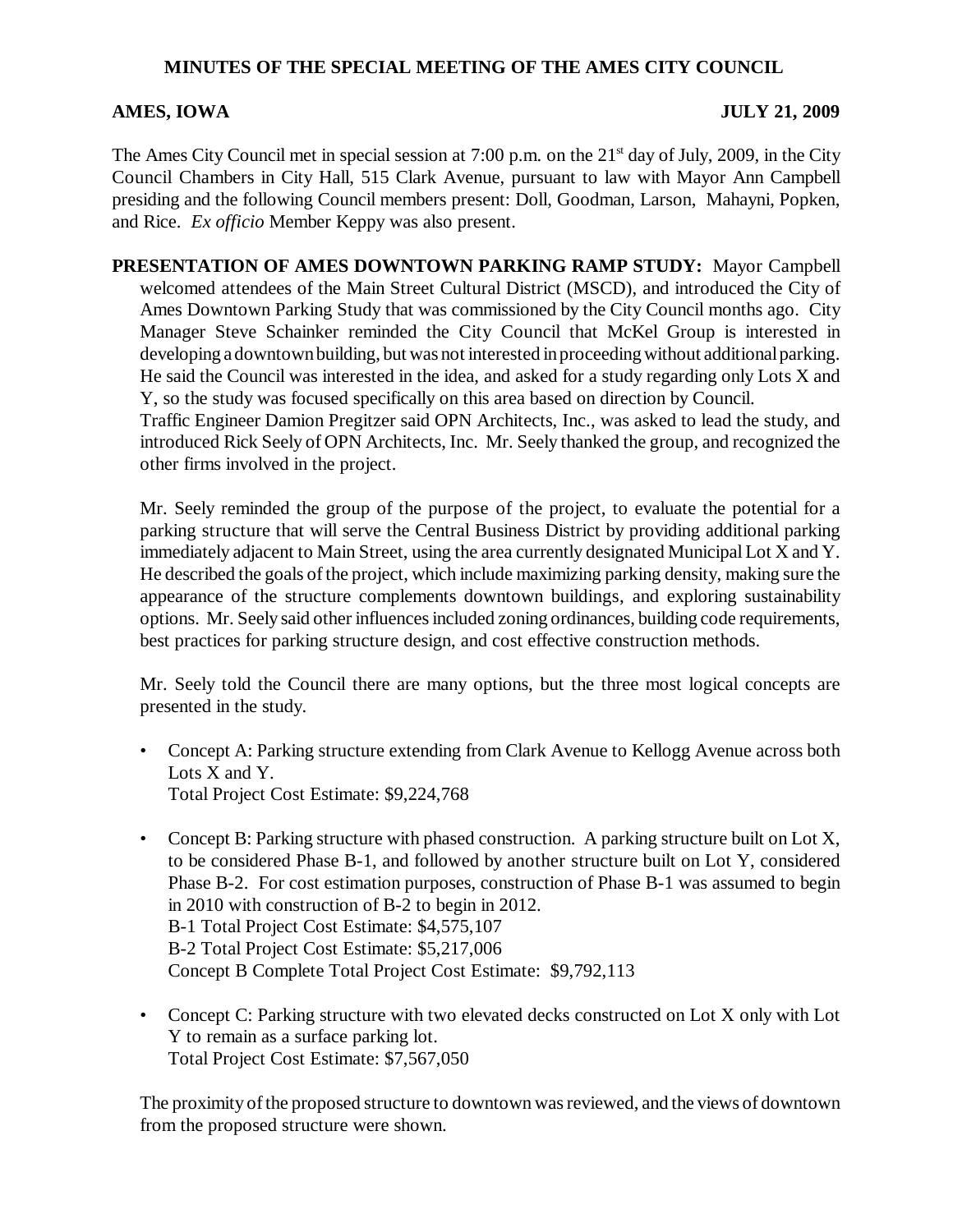## **MINUTES OF THE SPECIAL MEETING OF THE AMES CITY COUNCIL**

## **AMES, IOWA JULY 21, 2009**

The Ames City Council met in special session at 7:00 p.m. on the  $21<sup>st</sup>$  day of July, 2009, in the City Council Chambers in City Hall, 515 Clark Avenue, pursuant to law with Mayor Ann Campbell presiding and the following Council members present: Doll, Goodman, Larson, Mahayni, Popken, and Rice. *Ex officio* Member Keppy was also present.

**PRESENTATION OF AMES DOWNTOWN PARKING RAMP STUDY:** Mayor Campbell welcomed attendees of the Main Street Cultural District (MSCD), and introduced the City of Ames Downtown Parking Study that was commissioned by the City Council months ago. City Manager Steve Schainker reminded the City Council that McKel Group is interested in developing a downtown building, but was not interested in proceeding without additional parking. He said the Council was interested in the idea, and asked for a study regarding only Lots X and Y, so the study was focused specifically on this area based on direction by Council.

Traffic Engineer Damion Pregitzer said OPN Architects, Inc., was asked to lead the study, and introduced Rick Seely of OPN Architects, Inc. Mr. Seely thanked the group, and recognized the other firms involved in the project.

Mr. Seely reminded the group of the purpose of the project, to evaluate the potential for a parking structure that will serve the Central Business District by providing additional parking immediately adjacent to Main Street, using the area currently designated Municipal Lot X and Y. He described the goals of the project, which include maximizing parking density, making sure the appearance of the structure complements downtown buildings, and exploring sustainability options. Mr. Seely said other influences included zoning ordinances, building code requirements, best practices for parking structure design, and cost effective construction methods.

Mr. Seely told the Council there are many options, but the three most logical concepts are presented in the study.

- Concept A: Parking structure extending from Clark Avenue to Kellogg Avenue across both Lots X and Y. Total Project Cost Estimate: \$9,224,768
- Concept B: Parking structure with phased construction. A parking structure built on Lot X, to be considered Phase B-1, and followed by another structure built on Lot Y, considered Phase B-2. For cost estimation purposes, construction of Phase B-1 was assumed to begin in 2010 with construction of B-2 to begin in 2012. B-1 Total Project Cost Estimate: \$4,575,107 B-2 Total Project Cost Estimate: \$5,217,006 Concept B Complete Total Project Cost Estimate: \$9,792,113
- Concept C: Parking structure with two elevated decks constructed on Lot X only with Lot Y to remain as a surface parking lot. Total Project Cost Estimate: \$7,567,050

The proximity of the proposed structure to downtown was reviewed, and the views of downtown from the proposed structure were shown.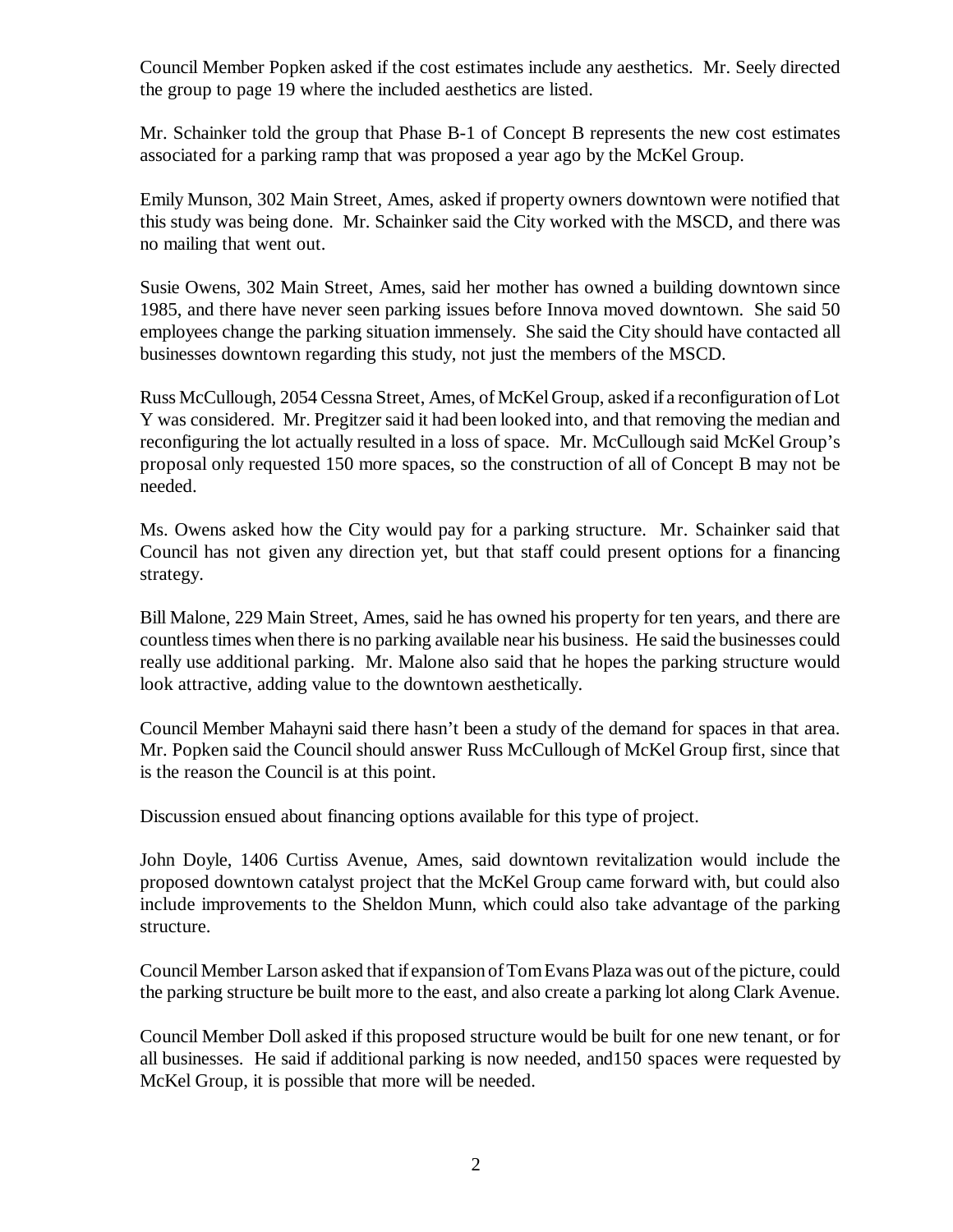Council Member Popken asked if the cost estimates include any aesthetics. Mr. Seely directed the group to page 19 where the included aesthetics are listed.

Mr. Schainker told the group that Phase B-1 of Concept B represents the new cost estimates associated for a parking ramp that was proposed a year ago by the McKel Group.

Emily Munson, 302 Main Street, Ames, asked if property owners downtown were notified that this study was being done. Mr. Schainker said the City worked with the MSCD, and there was no mailing that went out.

Susie Owens, 302 Main Street, Ames, said her mother has owned a building downtown since 1985, and there have never seen parking issues before Innova moved downtown. She said 50 employees change the parking situation immensely. She said the City should have contacted all businesses downtown regarding this study, not just the members of the MSCD.

Russ McCullough, 2054 Cessna Street, Ames, of McKel Group, asked if a reconfiguration of Lot Y was considered. Mr. Pregitzer said it had been looked into, and that removing the median and reconfiguring the lot actually resulted in a loss of space. Mr. McCullough said McKel Group's proposal only requested 150 more spaces, so the construction of all of Concept B may not be needed.

Ms. Owens asked how the City would pay for a parking structure. Mr. Schainker said that Council has not given any direction yet, but that staff could present options for a financing strategy.

Bill Malone, 229 Main Street, Ames, said he has owned his property for ten years, and there are countless times when there is no parking available near his business. He said the businesses could really use additional parking. Mr. Malone also said that he hopes the parking structure would look attractive, adding value to the downtown aesthetically.

Council Member Mahayni said there hasn't been a study of the demand for spaces in that area. Mr. Popken said the Council should answer Russ McCullough of McKel Group first, since that is the reason the Council is at this point.

Discussion ensued about financing options available for this type of project.

John Doyle, 1406 Curtiss Avenue, Ames, said downtown revitalization would include the proposed downtown catalyst project that the McKel Group came forward with, but could also include improvements to the Sheldon Munn, which could also take advantage of the parking structure.

Council Member Larson asked that if expansion of Tom Evans Plaza was out of the picture, could the parking structure be built more to the east, and also create a parking lot along Clark Avenue.

Council Member Doll asked if this proposed structure would be built for one new tenant, or for all businesses. He said if additional parking is now needed, and150 spaces were requested by McKel Group, it is possible that more will be needed.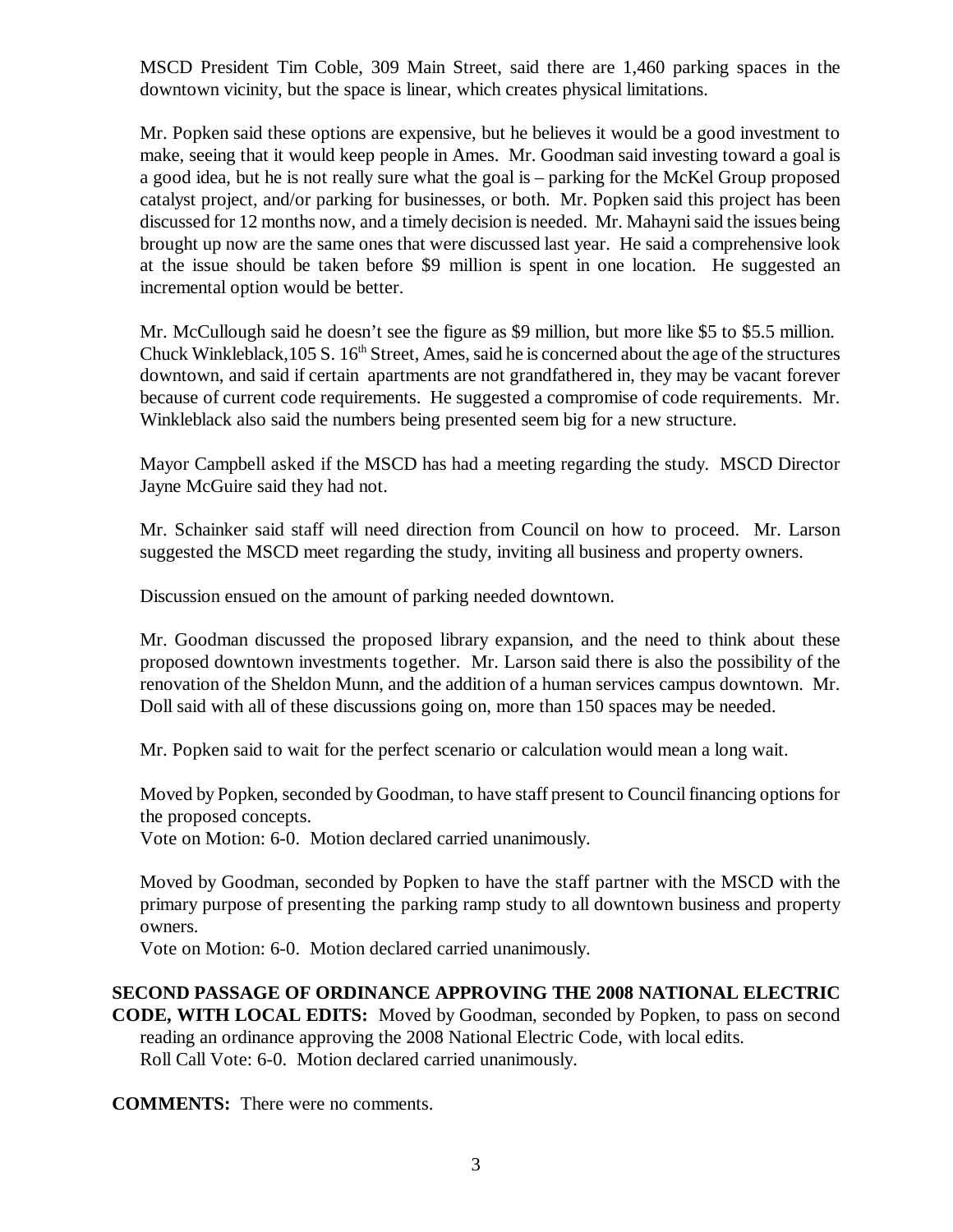MSCD President Tim Coble, 309 Main Street, said there are 1,460 parking spaces in the downtown vicinity, but the space is linear, which creates physical limitations.

Mr. Popken said these options are expensive, but he believes it would be a good investment to make, seeing that it would keep people in Ames. Mr. Goodman said investing toward a goal is a good idea, but he is not really sure what the goal is – parking for the McKel Group proposed catalyst project, and/or parking for businesses, or both. Mr. Popken said this project has been discussed for 12 months now, and a timely decision is needed. Mr. Mahayni said the issues being brought up now are the same ones that were discussed last year. He said a comprehensive look at the issue should be taken before \$9 million is spent in one location. He suggested an incremental option would be better.

Mr. McCullough said he doesn't see the figure as \$9 million, but more like \$5 to \$5.5 million. Chuck Winkleblack,  $105 S$ .  $16<sup>th</sup>$  Street, Ames, said he is concerned about the age of the structures downtown, and said if certain apartments are not grandfathered in, they may be vacant forever because of current code requirements. He suggested a compromise of code requirements. Mr. Winkleblack also said the numbers being presented seem big for a new structure.

Mayor Campbell asked if the MSCD has had a meeting regarding the study. MSCD Director Jayne McGuire said they had not.

Mr. Schainker said staff will need direction from Council on how to proceed. Mr. Larson suggested the MSCD meet regarding the study, inviting all business and property owners.

Discussion ensued on the amount of parking needed downtown.

Mr. Goodman discussed the proposed library expansion, and the need to think about these proposed downtown investments together. Mr. Larson said there is also the possibility of the renovation of the Sheldon Munn, and the addition of a human services campus downtown. Mr. Doll said with all of these discussions going on, more than 150 spaces may be needed.

Mr. Popken said to wait for the perfect scenario or calculation would mean a long wait.

Moved by Popken, seconded by Goodman, to have staff present to Council financing options for the proposed concepts.

Vote on Motion: 6-0. Motion declared carried unanimously.

Moved by Goodman, seconded by Popken to have the staff partner with the MSCD with the primary purpose of presenting the parking ramp study to all downtown business and property owners.

Vote on Motion: 6-0. Motion declared carried unanimously.

**SECOND PASSAGE OF ORDINANCE APPROVING THE 2008 NATIONAL ELECTRIC CODE, WITH LOCAL EDITS:** Moved by Goodman, seconded by Popken, to pass on second reading an ordinance approving the 2008 National Electric Code, with local edits. Roll Call Vote: 6-0. Motion declared carried unanimously.

**COMMENTS:** There were no comments.